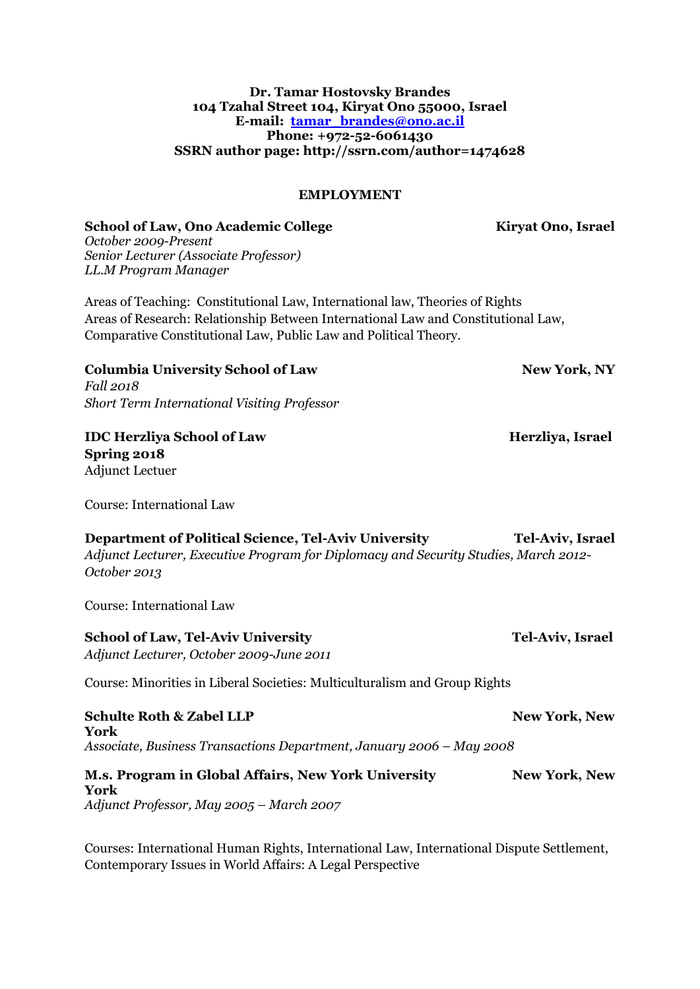### **Dr. Tamar Hostovsky Brandes 104 Tzahal Street 104, Kiryat Ono 55000, Israel E-mail: [tamar\\_brandes@ono.ac.il](mailto:tamar_brandes@ono.ac.il) Phone: +972-52-6061430 SSRN author page: http://ssrn.com/author=1474628**

### **EMPLOYMENT**

#### School of Law, Ono Academic College **Kiryat Ono, Israel**

*October 2009-Present Senior Lecturer (Associate Professor) LL.M Program Manager*

Areas of Teaching: Constitutional Law, International law, Theories of Rights Areas of Research: Relationship Between International Law and Constitutional Law, Comparative Constitutional Law, Public Law and Political Theory.

## **Columbia University School of Law New York, NY**

*Fall 2018 Short Term International Visiting Professor*

### **IDC Herzliya School of Law Herzliya, Israel Spring 2018**

Adjunct Lectuer

Course: International Law

## **Department of Political Science, Tel-Aviv University Tel-Aviv, Israel**

*Adjunct Lecturer, Executive Program for Diplomacy and Security Studies, March 2012- October 2013*

Course: International Law

### **School of Law, Tel-Aviv University Tel-Aviv, Israel and Tel-Aviv, Israel and Tel-Aviv, Israel and Tel-Aviv, Israel and Tel-Aviv, Israel and Tel-Aviv, Israel and Tel-Aviv, Israel and Tel-Aviv, Israel and Tel-Aviv, Israel a**

*Adjunct Lecturer, October 2009-June 2011*

Course: Minorities in Liberal Societies: Multiculturalism and Group Rights

**Schulte Roth & Zabel LLP New York, New York, New York, New York, New York, New York, New York, New York, New York, New York, New York, New York, New York, New York, New York, New York, New York, New York, New York, New Yo York**  *Associate, Business Transactions Department, January 2006 – May 2008*

#### **M.s. Program in Global Affairs, New York University New York, New York, New York, New York, New York, New York, New York, New York, New York, New York, New York, New York, New York, New York, New York, New York, New York, York**

*Adjunct Professor, May 2005 – March 2007*

Courses: International Human Rights, International Law, International Dispute Settlement, Contemporary Issues in World Affairs: A Legal Perspective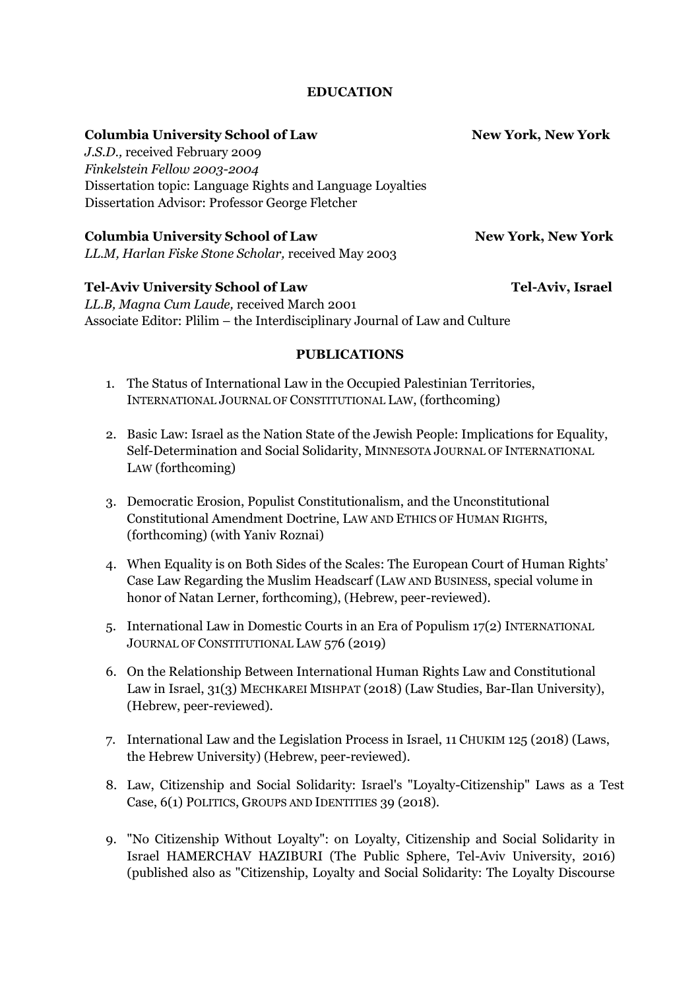### **EDUCATION**

| <b>Columbia University School of Law</b>                   | <b>New York, New York</b> |
|------------------------------------------------------------|---------------------------|
| J.S.D., received February 2009                             |                           |
| Finkelstein Fellow 2003-2004                               |                           |
| Dissertation topic: Language Rights and Language Loyalties |                           |
| Dissertation Advisor: Professor George Fletcher            |                           |
| <b>Columbia University School of Law</b>                   | <b>New York, New York</b> |
| LL.M, Harlan Fiske Stone Scholar, received May 2003        |                           |
| <b>Tel-Aviv University School of Law</b>                   | Tel-Aviv, Israel          |
| II R Magna Cum Laude roceived March 2001                   |                           |

*LL.B, Magna Cum Laude,* received March 2001 Associate Editor: Plilim – the Interdisciplinary Journal of Law and Culture

### **PUBLICATIONS**

- 1. The Status of International Law in the Occupied Palestinian Territories, INTERNATIONAL JOURNAL OF CONSTITUTIONAL LAW, (forthcoming)
- 2. Basic Law: Israel as the Nation State of the Jewish People: Implications for Equality, Self-Determination and Social Solidarity, MINNESOTA JOURNAL OF INTERNATIONAL LAW (forthcoming)
- 3. Democratic Erosion, Populist Constitutionalism, and the Unconstitutional Constitutional Amendment Doctrine, LAW AND ETHICS OF HUMAN RIGHTS, (forthcoming) (with Yaniv Roznai)
- 4. When Equality is on Both Sides of the Scales: The European Court of Human Rights' Case Law Regarding the Muslim Headscarf (LAW AND BUSINESS, special volume in honor of Natan Lerner, forthcoming), (Hebrew, peer-reviewed).
- 5. International Law in Domestic Courts in an Era of Populism 17(2) INTERNATIONAL JOURNAL OF CONSTITUTIONAL LAW 576 (2019)
- 6. On the Relationship Between International Human Rights Law and Constitutional Law in Israel, 31(3) MECHKAREI MISHPAT (2018) (Law Studies, Bar-Ilan University), (Hebrew, peer-reviewed).
- 7. International Law and the Legislation Process in Israel, 11 CHUKIM 125 (2018) (Laws, the Hebrew University) (Hebrew, peer-reviewed).
- 8. Law, Citizenship and Social Solidarity: Israel's "Loyalty-Citizenship" Laws as a Test Case, 6(1) POLITICS, GROUPS AND IDENTITIES 39 (2018).
- 9. "No Citizenship Without Loyalty": on Loyalty, Citizenship and Social Solidarity in Israel HAMERCHAV HAZIBURI (The Public Sphere, Tel-Aviv University, 2016) (published also as "Citizenship, Loyalty and Social Solidarity: The Loyalty Discourse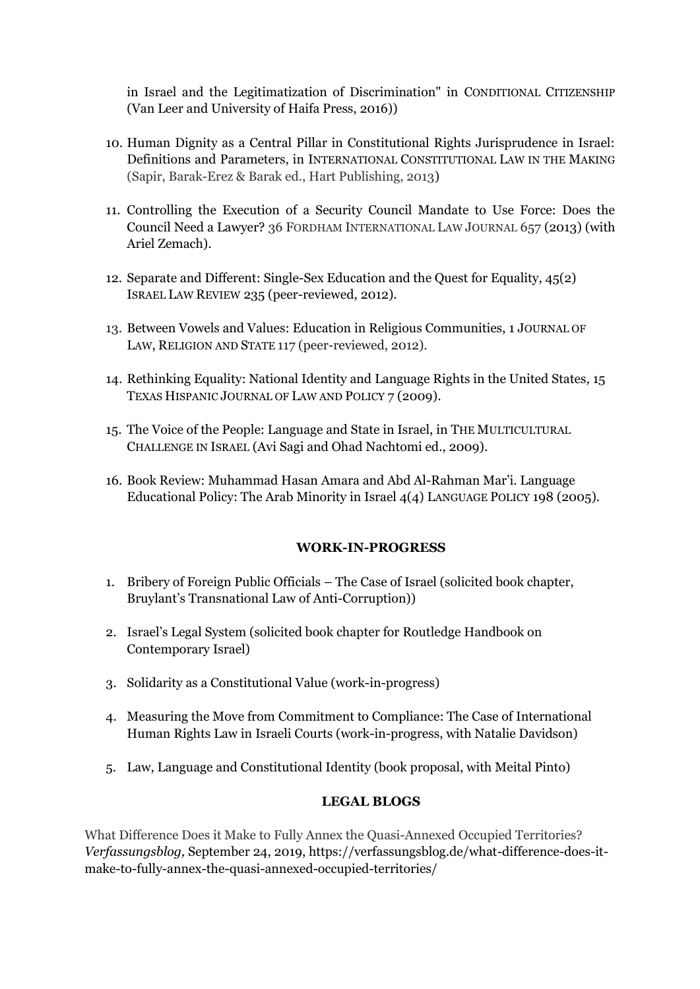in Israel and the Legitimatization of Discrimination" in CONDITIONAL CITIZENSHIP (Van Leer and University of Haifa Press, 2016))

- 10. Human Dignity as a Central Pillar in Constitutional Rights Jurisprudence in Israel: Definitions and Parameters, in INTERNATIONAL CONSTITUTIONAL LAW IN THE MAKING (Sapir, Barak-Erez & Barak ed., Hart Publishing, 2013)
- 11. Controlling the Execution of a Security Council Mandate to Use Force: Does the Council Need a Lawyer? 36 FORDHAM INTERNATIONAL LAW JOURNAL 657 (2013) (with Ariel Zemach).
- 12. Separate and Different: Single-Sex Education and the Quest for Equality, 45(2) ISRAEL LAW REVIEW 235 (peer-reviewed, 2012).
- 13. Between Vowels and Values: Education in Religious Communities, 1 JOURNAL OF LAW, RELIGION AND STATE 117 (peer-reviewed, 2012).
- 14. Rethinking Equality: National Identity and Language Rights in the United States*,* 15 TEXAS HISPANIC JOURNAL OF LAW AND POLICY 7 (2009).
- 15. The Voice of the People: Language and State in Israel, in THE MULTICULTURAL CHALLENGE IN ISRAEL (Avi Sagi and Ohad Nachtomi ed., 2009).
- 16. Book Review: Muhammad Hasan Amara and Abd Al-Rahman Mar'i. Language Educational Policy: The Arab Minority in Israel 4(4) LANGUAGE POLICY 198 (2005).

### **WORK-IN-PROGRESS**

- 1. Bribery of Foreign Public Officials The Case of Israel (solicited book chapter, Bruylant's Transnational Law of Anti-Corruption))
- 2. Israel's Legal System (solicited book chapter for Routledge Handbook on Contemporary Israel)
- 3. Solidarity as a Constitutional Value (work-in-progress)
- 4. Measuring the Move from Commitment to Compliance: The Case of International Human Rights Law in Israeli Courts (work-in-progress, with Natalie Davidson)
- 5. Law, Language and Constitutional Identity (book proposal, with Meital Pinto)

## **LEGAL BLOGS**

What Difference Does it Make to Fully Annex the [Quasi-Annexed](https://verfassungsblog.de/what-difference-does-it-make-to-fully-annex-the-quasi-annexed-occupied-territories/) Occupied Territories? *Verfassungsblog,* September 24, 2019, https://verfassungsblog.de/what-difference-does-itmake-to-fully-annex-the-quasi-annexed-occupied-territories/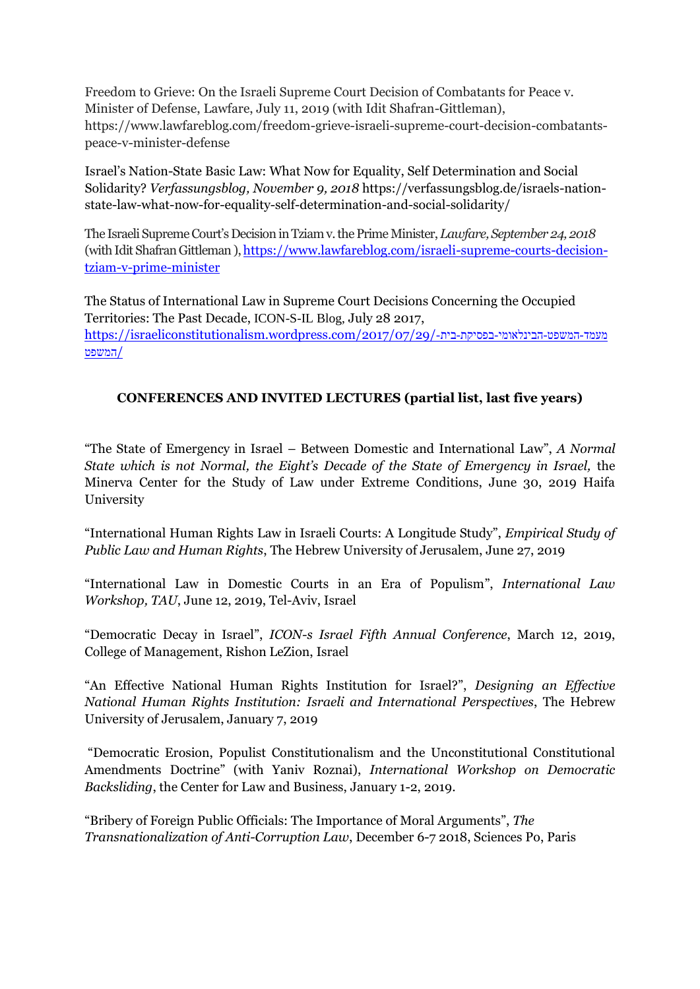Freedom to Grieve: On the Israeli Supreme Court Decision of Combatants for Peace v. Minister of Defense, Lawfare, July 11, 2019 (with Idit Shafran-Gittleman), https://www.lawfareblog.com/freedom-grieve-israeli-supreme-court-decision-combatantspeace-v-minister-defense

Israel's Nation-State Basic Law: What Now for Equality, Self Determination and Social Solidarity? *Verfassungsblog, November 9, 2018* https://verfassungsblog.de/israels-nationstate-law-what-now-for-equality-self-determination-and-social-solidarity/

The Israeli Supreme Court's Decision in Tziam v. the Prime Minister, *Lawfare, September 24, 2018* (with Idit Shafran Gittleman), https://www.lawfareblog.com/israeli-supreme-courts-decision[tziam-v-prime-minister](https://www.lawfareblog.com/israeli-supreme-courts-decision-tziam-v-prime-minister)

The Status of International Law in Supreme Court Decisions Concerning the Occupied Territories: The Past Decade, ICON-S-IL Blog, July 28 2017, https://israeliconstitutionalism.wordpress.com/2017/07/29/-בית-/2017/07/29 /[המשפט](https://israeliconstitutionalism.wordpress.com/2017/07/29/מעמד-המשפט-הבינלאומי-בפסיקת-בית-המשפט/)

# **CONFERENCES AND INVITED LECTURES (partial list, last five years)**

"The State of Emergency in Israel – Between Domestic and International Law", *A Normal State which is not Normal, the Eight's Decade of the State of Emergency in Israel,* the Minerva Center for the Study of Law under Extreme Conditions, June 30, 2019 Haifa University

"International Human Rights Law in Israeli Courts: A Longitude Study", *Empirical Study of Public Law and Human Rights*, The Hebrew University of Jerusalem, June 27, 2019

"International Law in Domestic Courts in an Era of Populism", *International Law Workshop, TAU*, June 12, 2019, Tel-Aviv, Israel

"Democratic Decay in Israel", *ICON-s Israel Fifth Annual Conference*, March 12, 2019, College of Management, Rishon LeZion, Israel

"An Effective National Human Rights Institution for Israel?", *Designing an Effective National Human Rights Institution: Israeli and International Perspectives*, The Hebrew University of Jerusalem, January 7, 2019

"Democratic Erosion, Populist Constitutionalism and the Unconstitutional Constitutional Amendments Doctrine" (with Yaniv Roznai), *International Workshop on Democratic Backsliding*, the Center for Law and Business, January 1-2, 2019.

"Bribery of Foreign Public Officials: The Importance of Moral Arguments", *The Transnationalization of Anti-Corruption Law*, December 6-7 2018, Sciences Po, Paris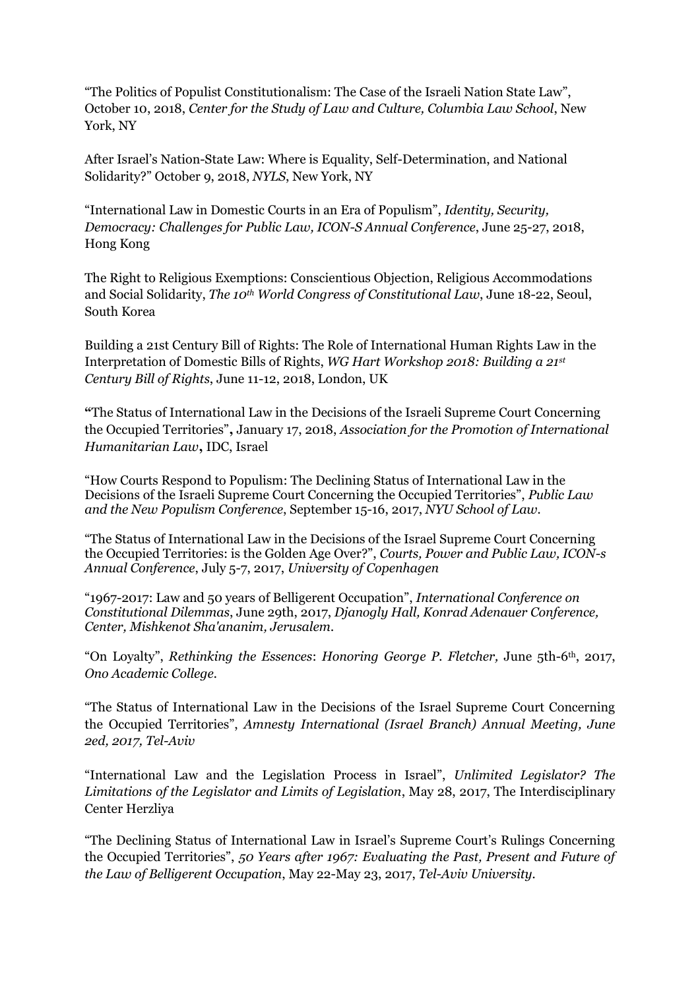"The Politics of Populist Constitutionalism: The Case of the Israeli Nation State Law", October 10, 2018, *Center for the Study of Law and Culture, Columbia Law School*, New York, NY

After Israel's Nation-State Law: Where is Equality, Self-Determination, and National Solidarity?" October 9, 2018, *NYLS*, New York, NY

"International Law in Domestic Courts in an Era of Populism", *Identity, Security, Democracy: Challenges for Public Law, ICON-S Annual Conference*, June 25-27, 2018, Hong Kong

The Right to Religious Exemptions: Conscientious Objection, Religious Accommodations and Social Solidarity, *The 10th World Congress of Constitutional Law*, June 18-22, Seoul, South Korea

Building a 21st Century Bill of Rights: The Role of International Human Rights Law in the Interpretation of Domestic Bills of Rights, *WG Hart Workshop 2018: Building a 21st Century Bill of Rights*, June 11-12, 2018, London, UK

**"**The Status of International Law in the Decisions of the Israeli Supreme Court Concerning the Occupied Territories"**,** January 17, 2018, *Association for the Promotion of International Humanitarian Law***,** IDC, Israel

"How Courts Respond to Populism: The Declining Status of International Law in the Decisions of the Israeli Supreme Court Concerning the Occupied Territories", *Public Law and the New Populism Conference*, September 15-16, 2017, *NYU School of Law.*

"The Status of International Law in the Decisions of the Israel Supreme Court Concerning the Occupied Territories: is the Golden Age Over?", *Courts, Power and Public Law, ICON-s Annual Conference*, July 5-7, 2017, *University of Copenhagen*

"1967-2017: Law and 50 years of Belligerent Occupation", *International Conference on Constitutional Dilemmas*, June 29th, 2017, *Djanogly Hall, Konrad Adenauer Conference, Center, Mishkenot Sha'ananim, Jerusalem.*

"On Loyalty", *Rethinking the Essences*: *Honoring George P. Fletcher,* June 5th-6th, 2017, *Ono Academic College.*

"The Status of International Law in the Decisions of the Israel Supreme Court Concerning the Occupied Territories", *Amnesty International (Israel Branch) Annual Meeting, June 2ed, 2017, Tel-Aviv*

"International Law and the Legislation Process in Israel", *Unlimited Legislator? The Limitations of the Legislator and Limits of Legislation*, May 28, 2017, The Interdisciplinary Center Herzliya

"The Declining Status of International Law in Israel's Supreme Court's Rulings Concerning the Occupied Territories", *50 Years after 1967: Evaluating the Past, Present and Future of the Law of Belligerent Occupation*, May 22-May 23, 2017, *Tel-Aviv University.*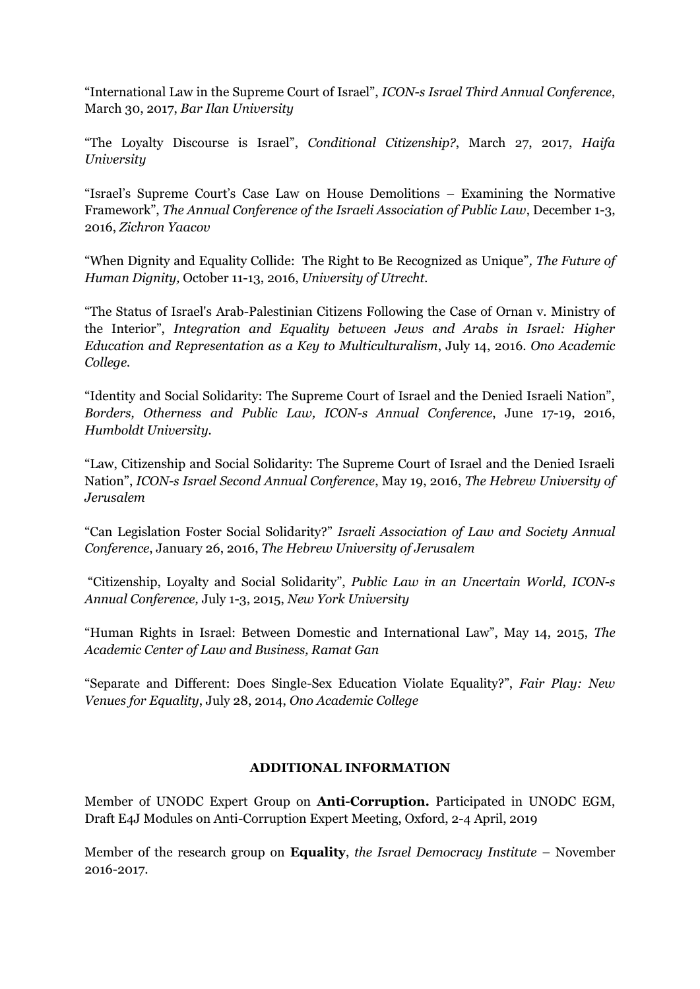"International Law in the Supreme Court of Israel", *ICON-s Israel Third Annual Conference*, March 30, 2017, *Bar Ilan University*

"The Loyalty Discourse is Israel", *Conditional Citizenship?*, March 27, 2017, *Haifa University*

"Israel's Supreme Court's Case Law on House Demolitions – Examining the Normative Framework", *The Annual Conference of the Israeli Association of Public Law*, December 1-3, 2016, *Zichron Yaacov*

"When Dignity and Equality Collide: The Right to Be Recognized as Unique"*, The Future of Human Dignity,* October 11-13, 2016, *University of Utrecht.*

"The Status of Israel's Arab-Palestinian Citizens Following the Case of Ornan v. Ministry of the Interior", *Integration and Equality between Jews and Arabs in Israel: Higher Education and Representation as a Key to Multiculturalism*, July 14, 2016. *Ono Academic College.*

"Identity and Social Solidarity: The Supreme Court of Israel and the Denied Israeli Nation", *Borders, Otherness and Public Law, ICON-s Annual Conference*, June 17-19, 2016, *Humboldt University.*

"Law, Citizenship and Social Solidarity: The Supreme Court of Israel and the Denied Israeli Nation", *ICON-s Israel Second Annual Conference*, May 19, 2016, *The Hebrew University of Jerusalem*

"Can Legislation Foster Social Solidarity?" *Israeli Association of Law and Society Annual Conference*, January 26, 2016, *The Hebrew University of Jerusalem*

"Citizenship, Loyalty and Social Solidarity", *Public Law in an Uncertain World, ICON-s Annual Conference,* July 1-3, 2015, *New York University*

"Human Rights in Israel: Between Domestic and International Law", May 14, 2015, *The Academic Center of Law and Business, Ramat Gan*

"Separate and Different: Does Single-Sex Education Violate Equality?", *Fair Play: New Venues for Equality*, July 28, 2014, *Ono Academic College*

## **ADDITIONAL INFORMATION**

Member of UNODC Expert Group on **Anti-Corruption.** Participated in UNODC EGM, Draft E4J Modules on Anti-Corruption Expert Meeting, Oxford, 2-4 April, 2019

Member of the research group on **Equality**, *the Israel Democracy Institute* – November 2016-2017.